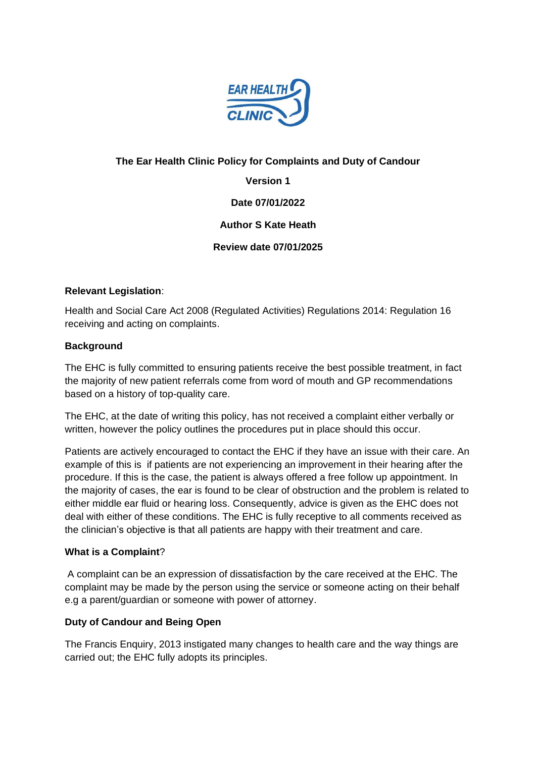

# **The Ear Health Clinic Policy for Complaints and Duty of Candour**

**Version 1**

**Date 07/01/2022**

**Author S Kate Heath**

**Review date 07/01/2025**

# **Relevant Legislation**:

Health and Social Care Act 2008 (Regulated Activities) Regulations 2014: Regulation 16 receiving and acting on complaints.

# **Background**

The EHC is fully committed to ensuring patients receive the best possible treatment, in fact the majority of new patient referrals come from word of mouth and GP recommendations based on a history of top-quality care.

The EHC, at the date of writing this policy, has not received a complaint either verbally or written, however the policy outlines the procedures put in place should this occur.

Patients are actively encouraged to contact the EHC if they have an issue with their care. An example of this is if patients are not experiencing an improvement in their hearing after the procedure. If this is the case, the patient is always offered a free follow up appointment. In the majority of cases, the ear is found to be clear of obstruction and the problem is related to either middle ear fluid or hearing loss. Consequently, advice is given as the EHC does not deal with either of these conditions. The EHC is fully receptive to all comments received as the clinician's objective is that all patients are happy with their treatment and care.

#### **What is a Complaint**?

A complaint can be an expression of dissatisfaction by the care received at the EHC. The complaint may be made by the person using the service or someone acting on their behalf e.g a parent/guardian or someone with power of attorney.

# **Duty of Candour and Being Open**

The Francis Enquiry, 2013 instigated many changes to health care and the way things are carried out; the EHC fully adopts its principles.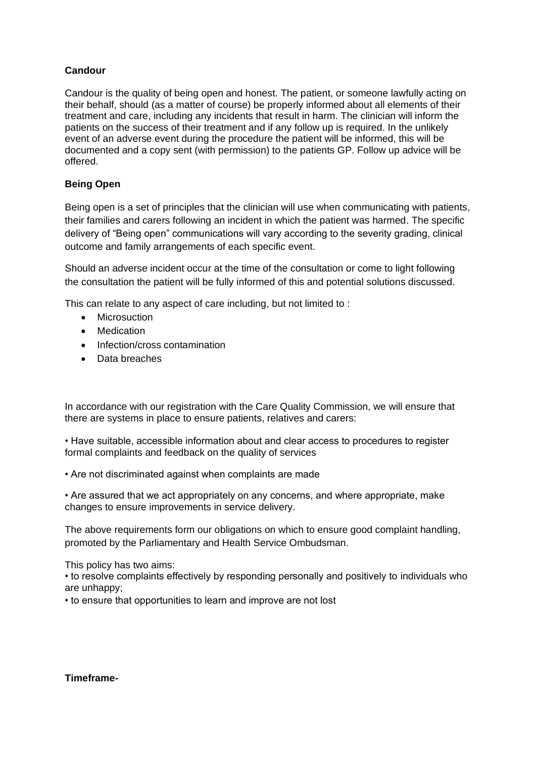# **Candour**

Candour is the quality of being open and honest. The patient, or someone lawfully acting on their behalf, should (as a matter of course) be properly informed about all elements of their treatment and care, including any incidents that result in harm. The clinician will inform the patients on the success of their treatment and if any follow up is required. In the unlikely event of an adverse event during the procedure the patient will be informed, this will be documented and a copy sent (with permission) to the patients GP. Follow up advice will be offered.

# **Being Open**

Being open is a set of principles that the clinician will use when communicating with patients, their families and carers following an incident in which the patient was harmed. The specific delivery of "Being open" communications will vary according to the severity grading, clinical outcome and family arrangements of each specific event.

Should an adverse incident occur at the time of the consultation or come to light following the consultation the patient will be fully informed of this and potential solutions discussed.

This can relate to any aspect of care including, but not limited to :

- Microsuction
- Medication
- Infection/cross contamination
- Data breaches

In accordance with our registration with the Care Quality Commission, we will ensure that there are systems in place to ensure patients, relatives and carers:

• Have suitable, accessible information about and clear access to procedures to register formal complaints and feedback on the quality of services

• Are not discriminated against when complaints are made

• Are assured that we act appropriately on any concerns, and where appropriate, make changes to ensure improvements in service delivery.

The above requirements form our obligations on which to ensure good complaint handling, promoted by the Parliamentary and Health Service Ombudsman.

This policy has two aims:

• to resolve complaints effectively by responding personally and positively to individuals who are unhappy;

• to ensure that opportunities to learn and improve are not lost

#### **Timeframe-**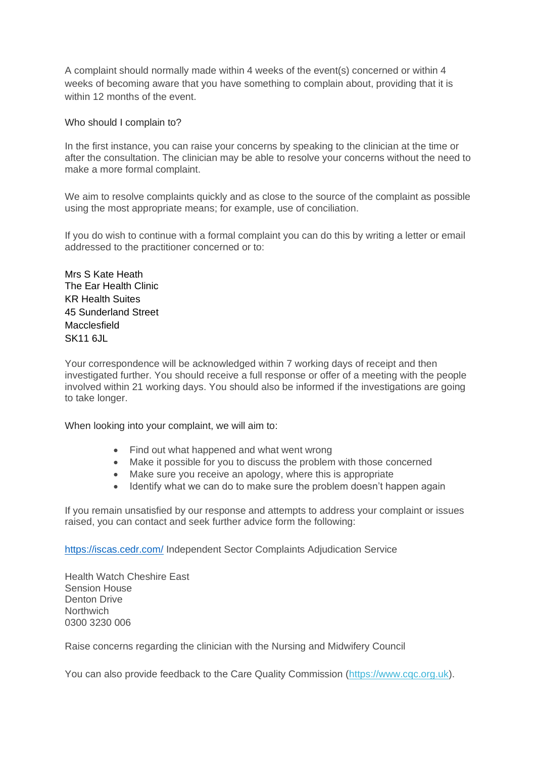A complaint should normally made within 4 weeks of the event(s) concerned or within 4 weeks of becoming aware that you have something to complain about, providing that it is within 12 months of the event.

Who should I complain to?

In the first instance, you can raise your concerns by speaking to the clinician at the time or after the consultation. The clinician may be able to resolve your concerns without the need to make a more formal complaint.

We aim to resolve complaints quickly and as close to the source of the complaint as possible using the most appropriate means; for example, use of conciliation.

If you do wish to continue with a formal complaint you can do this by writing a letter or email addressed to the practitioner concerned or to:

Mrs S Kate Heath The Ear Health Clinic KR Health Suites 45 Sunderland Street Macclesfield SK11 6JL

Your correspondence will be acknowledged within 7 working days of receipt and then investigated further. You should receive a full response or offer of a meeting with the people involved within 21 working days. You should also be informed if the investigations are going to take longer.

When looking into your complaint, we will aim to:

- Find out what happened and what went wrong
- Make it possible for you to discuss the problem with those concerned
- Make sure you receive an apology, where this is appropriate
- Identify what we can do to make sure the problem doesn't happen again

If you remain unsatisfied by our response and attempts to address your complaint or issues raised, you can contact and seek further advice form the following:

<https://iscas.cedr.com/> Independent Sector Complaints Adjudication Service

Health Watch Cheshire East Sension House Denton Drive **Northwich** 0300 3230 006

Raise concerns regarding the clinician with the Nursing and Midwifery Council

You can also provide feedback to the Care Quality Commission [\(https://www.cqc.org.uk\)](https://www.cqc.org.uk/).